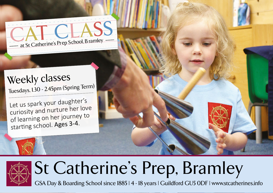$\bigcap$ at St Catherine's Prep School, B ramley

# Weekly classes

Tuesdays, 1.30 - 2.45pm (Spring Term)

Let us spark your daughter's curiosity and nurture her love of learning on her journey to starting school. Ages 3-4.



# St Catherine's Prep, Bramley

GSA Day & Boarding School since 1885 | 4 - 18 years | Guildford GU5 0DF | www.stcatherines.info